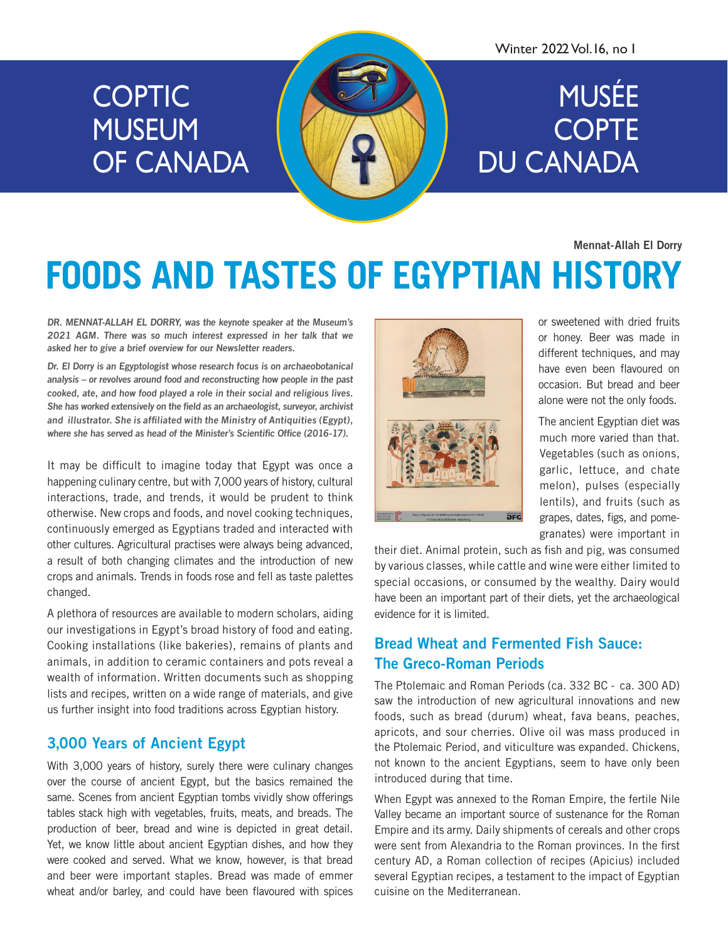# **COPTIC** MUSEUM OF CANADA

#### Winter 2022 Vol.16, no 1

# MUSÉE **COPTE** DU CANADA

Mennat-Allah El Dorry

# **FOODS AND TASTES OF EGYPTIAN HISTORY**

DR. MENNAT-ALLAH EL DORRY, was the keynote speaker at the Museum's 2021 AGM. There was so much interest expressed in her talk that we asked her to give a brief overview for our Newsletter readers.

Dr. El Dorry is an Egyptologist whose research focus is on archaeobotanical analysis – or revolves around food and reconstructing how people in the past cooked, ate, and how food played a role in their social and religious lives. She has worked extensively on the field as an archaeologist, surveyor, archivist and illustrator. She is affiliated with the Ministry of Antiquities (Egypt), where she has served as head of the Minister's Scientific Office (2016-17).

It may be difficult to imagine today that Egypt was once a happening culinary centre, but with 7,000 years of history, cultural interactions, trade, and trends, it would be prudent to think otherwise. New crops and foods, and novel cooking techniques, continuously emerged as Egyptians traded and interacted with other cultures. Agricultural practises were always being advanced, a result of both changing climates and the introduction of new crops and animals. Trends in foods rose and fell as taste palettes changed.

A plethora of resources are available to modern scholars, aiding our investigations in Egypt's broad history of food and eating. Cooking installations (like bakeries), remains of plants and animals, in addition to ceramic containers and pots reveal a wealth of information. Written documents such as shopping lists and recipes, written on a wide range of materials, and give us further insight into food traditions across Egyptian history.

### 3,000 Years of Ancient Egypt

With 3,000 years of history, surely there were culinary changes over the course of ancient Egypt, but the basics remained the same. Scenes from ancient Egyptian tombs vividly show offerings tables stack high with vegetables, fruits, meats, and breads. The production of beer, bread and wine is depicted in great detail. Yet, we know little about ancient Egyptian dishes, and how they were cooked and served. What we know, however, is that bread and beer were important staples. Bread was made of emmer wheat and/or barley, and could have been flavoured with spices



or sweetened with dried fruits or honey. Beer was made in different techniques, and may have even been flavoured on occasion. But bread and beer alone were not the only foods.

The ancient Egyptian diet was much more varied than that. Vegetables (such as onions, garlic, lettuce, and chate melon), pulses (especially lentils), and fruits (such as grapes, dates, figs, and pomegranates) were important in

their diet. Animal protein, such as fish and pig, was consumed by various classes, while cattle and wine were either limited to special occasions, or consumed by the wealthy. Dairy would have been an important part of their diets, yet the archaeological evidence for it is limited.

## Bread Wheat and Fermented Fish Sauce: The Greco-Roman Periods

The Ptolemaic and Roman Periods (ca. 332 BC - ca. 300 AD) saw the introduction of new agricultural innovations and new foods, such as bread (durum) wheat, fava beans, peaches, apricots, and sour cherries. Olive oil was mass produced in the Ptolemaic Period, and viticulture was expanded. Chickens, not known to the ancient Egyptians, seem to have only been introduced during that time.

When Egypt was annexed to the Roman Empire, the fertile Nile Valley became an important source of sustenance for the Roman Empire and its army. Daily shipments of cereals and other crops were sent from Alexandria to the Roman provinces. In the first century AD, a Roman collection of recipes (Apicius) included several Egyptian recipes, a testament to the impact of Egyptian cuisine on the Mediterranean.